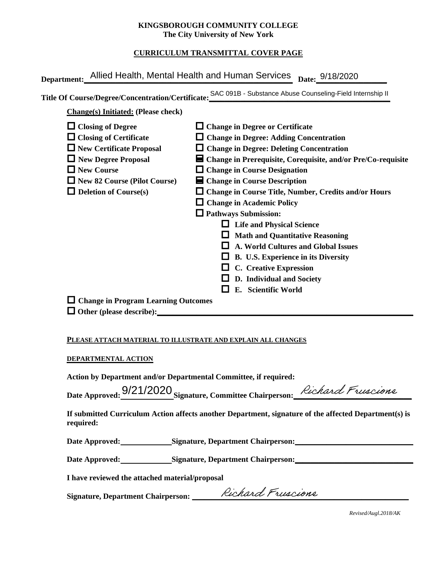### **KINGSBOROUGH COMMUNITY COLLEGE The City University of New York**

# **CURRICULUM TRANSMITTAL COVER PAGE**

|                                                                                                                                                                                                          | Department: Allied Health, Mental Health and Human Services Date: 9/18/2020                                                                                                                                                                                                                                                                                                                                                                                                                                                                                                                                                                                             |
|----------------------------------------------------------------------------------------------------------------------------------------------------------------------------------------------------------|-------------------------------------------------------------------------------------------------------------------------------------------------------------------------------------------------------------------------------------------------------------------------------------------------------------------------------------------------------------------------------------------------------------------------------------------------------------------------------------------------------------------------------------------------------------------------------------------------------------------------------------------------------------------------|
|                                                                                                                                                                                                          | Title Of Course/Degree/Concentration/Certificate: SAC 091B - Substance Abuse Counseling-Field Internship II                                                                                                                                                                                                                                                                                                                                                                                                                                                                                                                                                             |
| <b>Change(s)</b> Initiated: (Please check)                                                                                                                                                               |                                                                                                                                                                                                                                                                                                                                                                                                                                                                                                                                                                                                                                                                         |
| $\Box$ Closing of Degree<br>$\Box$ Closing of Certificate<br>$\Box$ New Certificate Proposal<br>New Degree Proposal<br>$\Box$ New Course<br>New 82 Course (Pilot Course)<br>$\Box$ Deletion of Course(s) | $\Box$ Change in Degree or Certificate<br>$\Box$ Change in Degree: Adding Concentration<br>$\Box$ Change in Degree: Deleting Concentration<br>■ Change in Prerequisite, Corequisite, and/or Pre/Co-requisite<br>$\Box$ Change in Course Designation<br>■ Change in Course Description<br>□ Change in Course Title, Number, Credits and/or Hours<br>$\Box$ Change in Academic Policy<br><b>Q</b> Pathways Submission:<br>□ Life and Physical Science<br>$\Box$ Math and Quantitative Reasoning<br>A. World Cultures and Global Issues<br>$\Box$ B. U.S. Experience in its Diversity<br>$\Box$ C. Creative Expression<br>D. Individual and Society<br>E. Scientific World |
| $\Box$ Change in Program Learning Outcomes                                                                                                                                                               |                                                                                                                                                                                                                                                                                                                                                                                                                                                                                                                                                                                                                                                                         |
| DEPARTMENTAL ACTION<br>Action by Department and/or Departmental Committee, if required:                                                                                                                  | PLEASE ATTACH MATERIAL TO ILLUSTRATE AND EXPLAIN ALL CHANGES                                                                                                                                                                                                                                                                                                                                                                                                                                                                                                                                                                                                            |
|                                                                                                                                                                                                          | Date Approved: 9/21/2020 Signature Committee Chairperson: Richard Fruscians                                                                                                                                                                                                                                                                                                                                                                                                                                                                                                                                                                                             |

#### **DEPARTMENTAL ACTION**

Date Approved: 9/21/2020 Signature, Committee Chairperson: *Richard Fruscions* 

**If submitted Curriculum Action affects another Department, signature of the affected Department(s) is required:**

Date Approved: Signature, Department Chairperson:

Date Approved: Signature, Department Chairperson: Network and Solven and Solven and Solven and Solven and Solven and Solven and Solven and Solven and Solven and Solven and Solven and Solven and Solven and Solven and Solven

**I have reviewed the attached material/proposal**

Signature, Department Chairperson: \_\_\_\_\_\_\_\_*/ RIChard T ruacione* 

*Revised/Augl.2018/AK*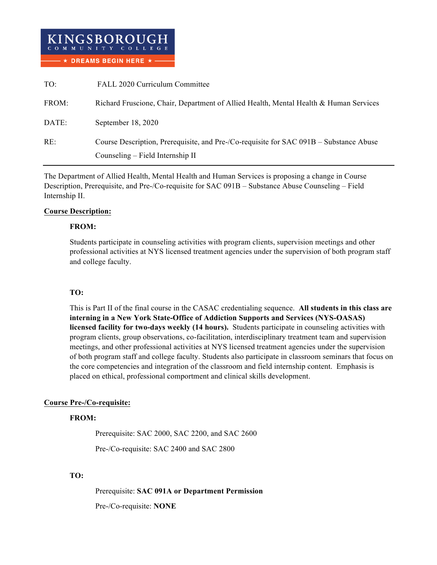

| TO:   | FALL 2020 Curriculum Committee                                                         |
|-------|----------------------------------------------------------------------------------------|
| FROM: | Richard Fruscione, Chair, Department of Allied Health, Mental Health & Human Services  |
| DATE: | September 18, 2020                                                                     |
| RE:   | Course Description, Prerequisite, and Pre-/Co-requisite for SAC 091B – Substance Abuse |
|       | Counseling – Field Internship II                                                       |

The Department of Allied Health, Mental Health and Human Services is proposing a change in Course Description, Prerequisite, and Pre-/Co-requisite for SAC 091B – Substance Abuse Counseling – Field Internship II.

### **Course Description:**

#### **FROM:**

Students participate in counseling activities with program clients, supervision meetings and other professional activities at NYS licensed treatment agencies under the supervision of both program staff and college faculty.

# **TO:**

This is Part II of the final course in the CASAC credentialing sequence. **All students in this class are interning in a New York State-Office of Addiction Supports and Services (NYS-OASAS) licensed facility for two-days weekly (14 hours).** Students participate in counseling activities with program clients, group observations, co-facilitation, interdisciplinary treatment team and supervision meetings, and other professional activities at NYS licensed treatment agencies under the supervision of both program staff and college faculty. Students also participate in classroom seminars that focus on the core competencies and integration of the classroom and field internship content. Emphasis is placed on ethical, professional comportment and clinical skills development.

# **Course Pre-/Co-requisite:**

# **FROM:**

Prerequisite: SAC 2000, SAC 2200, and SAC 2600

Pre-/Co-requisite: SAC 2400 and SAC 2800

# **TO:**

Prerequisite: **SAC 091A or Department Permission** Pre-/Co-requisite: **NONE**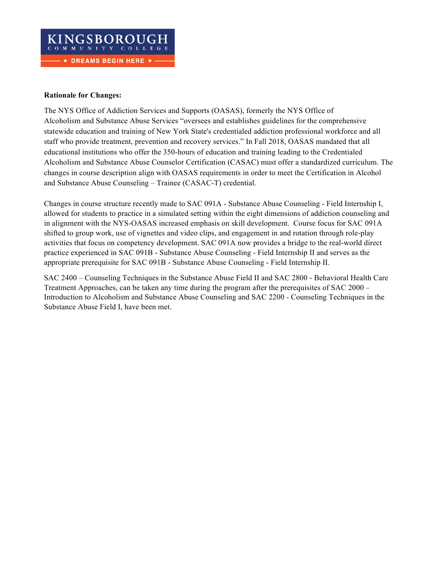

### **Rationale for Changes:**

The NYS Office of Addiction Services and Supports (OASAS), formerly the NYS Office of Alcoholism and Substance Abuse Services "oversees and establishes guidelines for the comprehensive statewide education and training of New York State's credentialed addiction professional workforce and all staff who provide treatment, prevention and recovery services." In Fall 2018, OASAS mandated that all educational institutions who offer the 350-hours of education and training leading to the Credentialed Alcoholism and Substance Abuse Counselor Certification (CASAC) must offer a standardized curriculum. The changes in course description align with OASAS requirements in order to meet the Certification in Alcohol and Substance Abuse Counseling – Trainee (CASAC-T) credential.

Changes in course structure recently made to SAC 091A - Substance Abuse Counseling - Field Internship I, allowed for students to practice in a simulated setting within the eight dimensions of addiction counseling and in alignment with the NYS-OASAS increased emphasis on skill development. Course focus for SAC 091A shifted to group work, use of vignettes and video clips, and engagement in and rotation through role-play activities that focus on competency development. SAC 091A now provides a bridge to the real-world direct practice experienced in SAC 091B - Substance Abuse Counseling - Field Internship II and serves as the appropriate prerequisite for SAC 091B - Substance Abuse Counseling - Field Internship II.

SAC 2400 – Counseling Techniques in the Substance Abuse Field II and SAC 2800 - Behavioral Health Care Treatment Approaches, can be taken any time during the program after the prerequisites of SAC 2000 – Introduction to Alcoholism and Substance Abuse Counseling and SAC 2200 - Counseling Techniques in the Substance Abuse Field I, have been met.